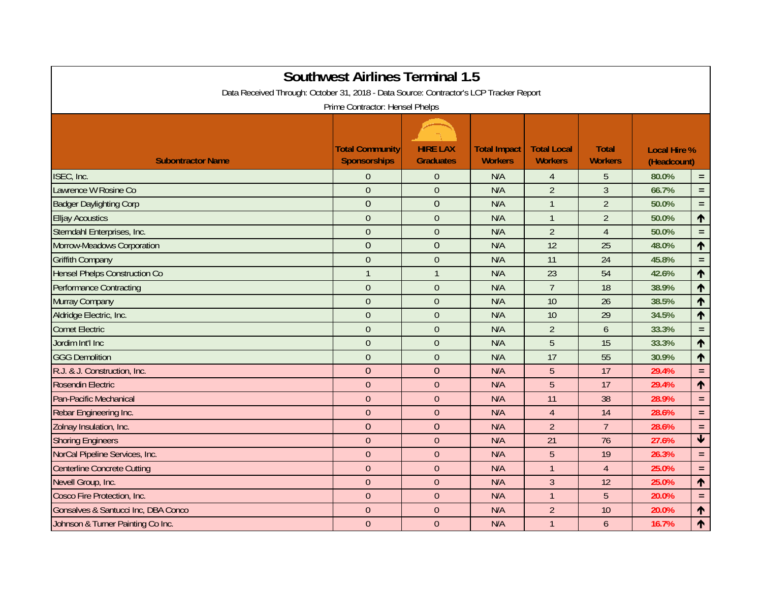| <b>Southwest Airlines Terminal 1.5</b>                                                 |                        |                  |                     |                    |                |                     |                         |  |  |  |  |  |  |
|----------------------------------------------------------------------------------------|------------------------|------------------|---------------------|--------------------|----------------|---------------------|-------------------------|--|--|--|--|--|--|
| Data Received Through: October 31, 2018 - Data Source: Contractor's LCP Tracker Report |                        |                  |                     |                    |                |                     |                         |  |  |  |  |  |  |
| Prime Contractor: Hensel Phelps                                                        |                        |                  |                     |                    |                |                     |                         |  |  |  |  |  |  |
|                                                                                        |                        |                  |                     |                    |                |                     |                         |  |  |  |  |  |  |
|                                                                                        | <b>Total Community</b> | <b>HIRE LAX</b>  | <b>Total Impact</b> | <b>Total Local</b> | <b>Total</b>   | <b>Local Hire %</b> |                         |  |  |  |  |  |  |
| <b>Subontractor Name</b>                                                               | <b>Sponsorships</b>    | <b>Graduates</b> | <b>Workers</b>      | <b>Workers</b>     | <b>Workers</b> | (Headcount)         |                         |  |  |  |  |  |  |
| ISEC, Inc.                                                                             | $\overline{0}$         | $\theta$         | N/A                 | $\overline{4}$     | 5              | 80.0%               | $\equiv$                |  |  |  |  |  |  |
| Lawrence W Rosine Co                                                                   | $\mathbf{0}$           | $\overline{0}$   | N/A                 | $\overline{2}$     | $\overline{3}$ | 66.7%               | $=$ $\,$                |  |  |  |  |  |  |
| <b>Badger Daylighting Corp</b>                                                         | $\overline{0}$         | $\mathbf{0}$     | N/A                 | $\mathbf{1}$       | $\overline{2}$ | 50.0%               | $=$ $\,$                |  |  |  |  |  |  |
| <b>Elljay Acoustics</b>                                                                | $\mathbf{0}$           | $\overline{0}$   | N/A                 | $\mathbf{1}$       | $\overline{2}$ | 50.0%               | $\blacklozenge$         |  |  |  |  |  |  |
| Sterndahl Enterprises, Inc.                                                            | $\overline{0}$         | $\overline{0}$   | N/A                 | $\overline{2}$     | $\overline{4}$ | 50.0%               | $=$                     |  |  |  |  |  |  |
| Morrow-Meadows Corporation                                                             | $\overline{0}$         | $\overline{0}$   | N/A                 | 12                 | 25             | 48.0%               | 个                       |  |  |  |  |  |  |
| <b>Griffith Company</b>                                                                | $\mathbf{0}$           | $\overline{0}$   | N/A                 | 11                 | 24             | 45.8%               | $=$                     |  |  |  |  |  |  |
| <b>Hensel Phelps Construction Co</b>                                                   | $\overline{1}$         | $\overline{1}$   | N/A                 | 23                 | 54             | 42.6%               | ↑                       |  |  |  |  |  |  |
| <b>Performance Contracting</b>                                                         | $\overline{0}$         | $\overline{0}$   | N/A                 | $\overline{7}$     | 18             | 38.9%               | ↑                       |  |  |  |  |  |  |
| Murray Company                                                                         | $\overline{0}$         | $\overline{0}$   | N/A                 | 10                 | 26             | 38.5%               | 个                       |  |  |  |  |  |  |
| Aldridge Electric, Inc.                                                                | $\overline{0}$         | $\overline{0}$   | N/A                 | 10                 | 29             | 34.5%               | ↑                       |  |  |  |  |  |  |
| <b>Comet Electric</b>                                                                  | $\mathbf{0}$           | $\overline{0}$   | N/A                 | $\overline{2}$     | 6              | 33.3%               | $\equiv$                |  |  |  |  |  |  |
| Jordim Int'l Inc                                                                       | $\mathbf{0}$           | $\theta$         | N/A                 | 5                  | 15             | 33.3%               | 个                       |  |  |  |  |  |  |
| <b>GGG Demolition</b>                                                                  | $\overline{0}$         | $\overline{0}$   | N/A                 | 17                 | 55             | 30.9%               | ↑                       |  |  |  |  |  |  |
| R.J. & J. Construction, Inc.                                                           | $\overline{0}$         | $\overline{0}$   | N/A                 | 5                  | 17             | 29.4%               | $\equiv$                |  |  |  |  |  |  |
| <b>Rosendin Electric</b>                                                               | $\overline{0}$         | $\overline{0}$   | N/A                 | 5                  | 17             | 29.4%               | ↑                       |  |  |  |  |  |  |
| Pan-Pacific Mechanical                                                                 | $\theta$               | $\theta$         | N/A                 | 11                 | 38             | 28.9%               | $=$                     |  |  |  |  |  |  |
| Rebar Engineering Inc.                                                                 | $\mathbf{0}$           | $\theta$         | N/A                 | $\overline{4}$     | 14             | 28.6%               | $=$ .                   |  |  |  |  |  |  |
| Zolnay Insulation, Inc.                                                                | $\overline{0}$         | $\mathbf{0}$     | N/A                 | $\overline{2}$     | $\overline{7}$ | 28.6%               | $\equiv$                |  |  |  |  |  |  |
| <b>Shoring Engineers</b>                                                               | $\mathbf{0}$           | $\overline{0}$   | N/A                 | 21                 | 76             | 27.6%               | $\overline{\mathbf{t}}$ |  |  |  |  |  |  |
| NorCal Pipeline Services, Inc.                                                         | $\overline{0}$         | $\boldsymbol{0}$ | N/A                 | 5                  | 19             | 26.3%               | $=$                     |  |  |  |  |  |  |
| <b>Centerline Concrete Cutting</b>                                                     | $\overline{0}$         | $\theta$         | N/A                 | $\overline{1}$     | $\overline{4}$ | 25.0%               | $=$ .                   |  |  |  |  |  |  |
| Nevell Group, Inc.                                                                     | $\overline{0}$         | $\theta$         | N/A                 | $\overline{3}$     | 12             | 25.0%               | 个                       |  |  |  |  |  |  |
| Cosco Fire Protection, Inc.                                                            | $\overline{0}$         | $\overline{0}$   | N/A                 | $\overline{1}$     | 5              | 20.0%               | $=$ .                   |  |  |  |  |  |  |
| Gonsalves & Santucci Inc, DBA Conco                                                    | $\Omega$               | $\theta$         | N/A                 | $\overline{2}$     | 10             | 20.0%               | ↑                       |  |  |  |  |  |  |
| Johnson & Turner Painting Co Inc.                                                      | $\theta$               | $\theta$         | N/A                 | $\mathbf{1}$       | 6              | 16.7%               | ↑                       |  |  |  |  |  |  |